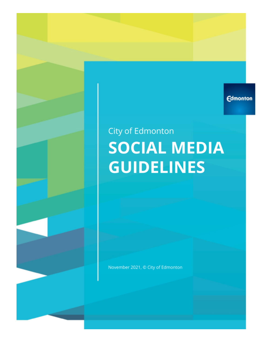**Edmonton** 

# City of Edmonton **SOCIAL MEDIA GUIDELINES**

November 2021, © City of Edmonton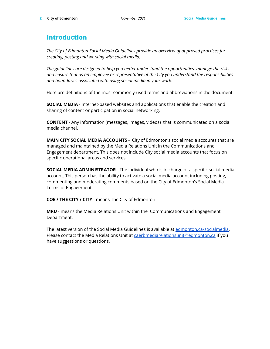# <span id="page-1-0"></span>**Introduction**

*The City of Edmonton Social Media Guidelines provide an overview of approved practices for creating, posting and working with social media.*

*The guidelines are designed to help you better understand the opportunities, manage the risks and ensure that as an employee or representative of the City you understand the responsibilities and boundaries associated with using social media in your work.*

Here are definitions of the most commonly-used terms and abbreviations in the document:

**SOCIAL MEDIA** - Internet-based websites and applications that enable the creation and sharing of content or participation in social networking.

**CONTENT** - Any information (messages, images, videos) that is communicated on a social media channel.

**MAIN CITY SOCIAL MEDIA ACCOUNTS** - City of Edmonton's social media accounts that are managed and maintained by the Media Relations Unit in the Communications and Engagement department. This does not include City social media accounts that focus on specific operational areas and services.

**SOCIAL MEDIA ADMINISTRATOR** - The individual who is in charge of a specific social media account. This person has the ability to activate a social media account including posting, commenting and moderating comments based on the City of Edmonton's Social Media Terms of Engagement.

**COE / THE CITY / CITY** - means The City of Edmonton

**MRU** - means the Media Relations Unit within the Communications and Engagement Department.

The latest version of the Social Media Guidelines is available at [edmonton.ca/socialmedia.](http://edmonton.ca/socialmedia) Please contact the Media Relations Unit at [caerbmediarelationsunit@edmonton.ca](mailto:caerbmediarelationsunit@edmonton.ca) if you have suggestions or questions.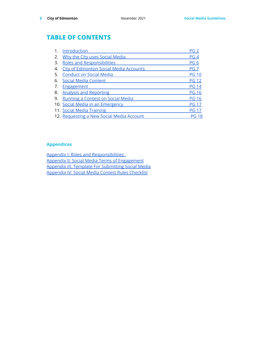# **TABLE OF CONTENTS**

| 1. | Introduction                                  | PG 2            |
|----|-----------------------------------------------|-----------------|
| 2. | Why the City uses Social Media                | PG <sub>4</sub> |
| 3. | <b>Roles and Responsibilities</b>             | PG <sub>6</sub> |
| 4. | <b>City of Edmonton Social Media Accounts</b> | PG <sub>7</sub> |
| 5. | <b>Conduct on Social Media</b>                | <b>PG 10</b>    |
| 6. | <b>Social Media Content</b>                   | <b>PG 12</b>    |
| 7. | <b>Engagement</b>                             | <b>PG 14</b>    |
| 8. | <b>Analysis and Reporting</b>                 | <b>PG 16</b>    |
| 9. | Running a Contest on Social Media             | <b>PG 16</b>    |
|    | 10. Social Media in an Emergency              | <b>PG 17</b>    |
|    | 11. Social Media Training                     | <b>PG 17</b>    |
|    | 12. Requesting a New Social Media Account     | <b>PG 18</b>    |

# **Appendices**

Appendix I: Roles and [Responsibilities](https://docs.google.com/document/d/1sIctckmOP-YkS3xfGbZiNGDnVmTohZd_gaplDe63SKI/edit#) Appendix II: Social Media Terms of [Engagement](https://docs.google.com/document/d/17L_RzxxaCDQ334z6RLKQRgOmJTssjkg8e42J4DW0k24/edit?usp=sharing) Appendix III: Template For [Submitting](https://docs.google.com/document/d/1uBBjcK0GLqM-hNhqdXVBRTY9EY4GJBgqWbTYgPhKay0/edit) Social Media [Appendix](https://docs.google.com/document/d/1VZRynO41G13nGbUoNxIQN43O5bDhC4-kKykho3oYzRE/edit) IV: Social Media Contest Rules Checklist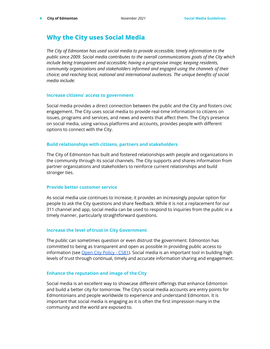# <span id="page-3-0"></span>**Why the City uses Social Media**

*The City of Edmonton has used social media to provide accessible, timely information to the public since 2009. Social media contributes to the overall communications goals of the City which include being transparent and accessible; having a progressive image; keeping residents, community organizations and stakeholders informed and engaged using the channels of their choice; and reaching local, national and international audiences. The unique benefits of social media include:*

#### **Increase citizens' access to government**

Social media provides a direct connection between the public and the City and fosters civic engagement. The City uses social media to provide real-time information to citizens on issues, programs and services, and news and events that affect them. The City's presence on social media, using various platforms and accounts, provides people with different options to connect with the City.

## **Build relationships with citizens, partners and stakeholders**

The City of Edmonton has built and fostered relationships with people and organizations in the community through its social channels. The City supports and shares information from partner organizations and stakeholders to reinforce current relationships and build stronger ties.

#### **Provide better customer service**

As social media use continues to increase, it provides an increasingly popular option for people to ask the City questions and share feedback. While it is not a replacement for our 311 channel and app, social media can be used to respond to inquiries from the public in a timely manner, particularly straightforward questions.

# **Increase the level of trust in City Government**

The public can sometimes question or even distrust the government. Edmonton has committed to being as transparent and open as possible in providing public access to information (see Open City [Policy](https://www.edmonton.ca/sites/default/files/public-files/assets/PoliciesDirectives/C581.pdf) - C581). Social media is an important tool in building high levels of trust through continual, timely and accurate information sharing and engagement.

#### **Enhance the reputation and image of the City**

Social media is an excellent way to showcase different offerings that enhance Edmonton and build a better city for tomorrow. The City's social media accounts are entry points for Edmontonians and people worldwide to experience and understand Edmonton. It is important that social media is engaging as it is often the first impression many in the community and the world are exposed to.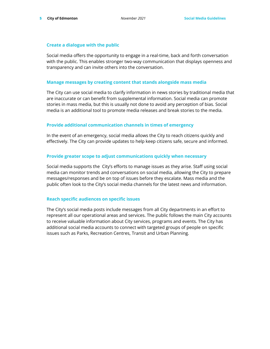## **Create a dialogue with the public**

Social media offers the opportunity to engage in a real-time, back and forth conversation with the public. This enables stronger two-way communication that displays openness and transparency and can invite others into the conversation.

#### **Manage messages by creating content that stands alongside mass media**

The City can use social media to clarify information in news stories by traditional media that are inaccurate or can benefit from supplemental information. Social media can promote stories in mass media, but this is usually not done to avoid any perception of bias. Social media is an additional tool to promote media releases and break stories to the media.

# **Provide additional communication channels in times of emergency**

In the event of an emergency, social media allows the City to reach citizens quickly and effectively. The City can provide updates to help keep citizens safe, secure and informed.

# **Provide greater scope to adjust communications quickly when necessary**

Social media supports the City's efforts to manage issues as they arise. Staff using social media can monitor trends and conversations on social media, allowing the City to prepare messages/responses and be on top of issues before they escalate. Mass media and the public often look to the City's social media channels for the latest news and information.

# **Reach specific audiences on specific issues**

The City's social media posts include messages from all City departments in an effort to represent all our operational areas and services. The public follows the main City accounts to receive valuable information about City services, programs and events. The City has additional social media accounts to connect with targeted groups of people on specific issues such as Parks, Recreation Centres, Transit and Urban Planning.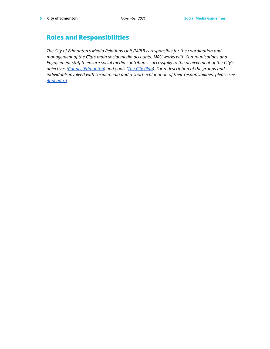# <span id="page-5-0"></span>**Roles and Responsibilities**

*The City of Edmonton's Media Relations Unit (MRU) is responsible for the coordination and management of the City's main social media accounts. MRU works with Communications and Engagement staff to ensure social media contributes successfully to the achievement of the City's objectives [\(ConnectEdmonton\)](https://www.edmonton.ca/city_government/city_vision_and_strategic_plan/connectedmonton) and goals (The City [Plan\)](https://www.edmonton.ca/city_government/city_vision_and_strategic_plan/city-plan). For a description of the groups and individuals involved with social media and a short explanation of their responsibilities, please see [Appendix](https://docs.google.com/document/d/1sIctckmOP-YkS3xfGbZiNGDnVmTohZd_gaplDe63SKI/edit#) I.*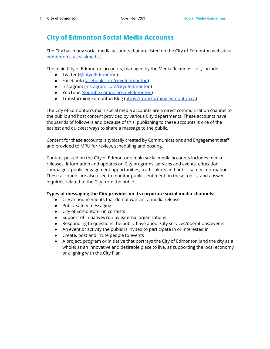# <span id="page-6-0"></span>**City of Edmonton Social Media Accounts**

The City has many social media accounts that are listed on the City of Edmonton website at [edmonton.ca/socialmedia](http://edmonton.ca/socialmedia).

The main City of Edmonton accounts, managed by the Media Relations Unit, include:

- Twitter ([@CityofEdmonton](https://twitter.com/CityofEdmonton))
- Facebook ([facebook.com/cityofedmonton\)](http://facebook.com/cityofedmonton)
- Instagram [\(instagram.com/cityofedmonton\)](http://instagram.com/cityofedmonton)
- YouTube [\(youtube.com/user/CityEdmonton\)](http://youtube.com/user/CityEdmonton)
- Transforming Edmonton Blog ([https://transforming.edmonton.ca\)](https://transforming.edmonton.ca/)

The City of Edmonton's main social media accounts are a direct communication channel to the public and host content provided by various City departments. These accounts have thousands of followers and because of this, publishing to these accounts is one of the easiest and quickest ways to share a message to the public.

Content for these accounts is typically created by Communications and Engagement staff and provided to MRU for review, scheduling and posting.

Content posted on the City of Edmonton's main social media accounts includes media releases, information and updates on City programs, services and events, education campaigns, public engagement opportunities, traffic alerts and public safety information. These accounts are also used to monitor public sentiment on these topics, and answer inquiries related to the City from the public.

# **Types of messaging the City provides on its corporate social media channels:**

- City announcements that do not warrant a media release
- Public safety messaging
- City of Edmonton-run contests
- Support of initiatives run by external organizations
- Responding to questions the public have about City services/operations/events
- An event or activity the public is invited to participate in or interested in
- Create, post and invite people to events
- A project, program or initiative that portrays the City of Edmonton (and the city as a whole) as an innovative and desirable place to live, as supporting the local economy or aligning with the City Plan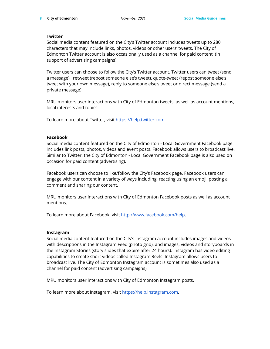# **Twitter**

Social media content featured on the City's Twitter account includes tweets up to 280 characters that may include links, photos, videos or other users' tweets. The City of Edmonton Twitter account is also occasionally used as a channel for paid content (in support of advertising campaigns).

Twitter users can choose to follow the CIty's Twitter account. Twitter users can tweet (send a message), retweet (repost someone else's tweet), quote-tweet (repost someone else's tweet with your own message), reply to someone else's tweet or direct message (send a private message).

MRU monitors user interactions with City of Edmonton tweets, as well as account mentions, local interests and topics.

To learn more about Twitter, visit <https://help.twitter.com>.

# **Facebook**

Social media content featured on the City of Edmonton - Local Government Facebook page includes link posts, photos, videos and event posts. Facebook allows users to broadcast live. Similar to Twitter, the City of Edmonton - Local Government Facebook page is also used on occasion for paid content (advertising).

Facebook users can choose to like/follow the City's Facebook page. Facebook users can engage with our content in a variety of ways including, reacting using an emoji, posting a comment and sharing our content.

MRU monitors user interactions with City of Edmonton Facebook posts as well as account mentions.

To learn more about Facebook, visit <http://www.facebook.com/help>.

# **Instagram**

Social media content featured on the City's Instagram account includes images and videos with descriptions in the Instagram Feed (photo grid), and images, videos and storyboards in the Instagram Stories (story slides that expire after 24 hours). Instagram has video editing capabilities to create short videos called Instagram Reels. Instagram allows users to broadcast live. The City of Edmonton Instagram account is sometimes also used as a channel for paid content (advertising campaigns).

MRU monitors user interactions with City of Edmonton Instagram posts.

To learn more about Instagram, visit [https://help.instagram.com.](https://help.instagram.com)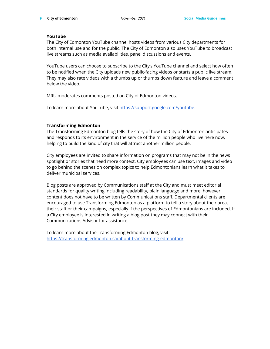# **YouTube**

The City of Edmonton YouTube channel hosts videos from various City departments for both internal use and for the public. The City of Edmonton also uses YouTube to broadcast live streams such as media availabilities, panel discussions and events.

YouTube users can choose to subscribe to the City's YouTube channel and select how often to be notified when the City uploads new public-facing videos or starts a public live stream. They may also rate videos with a thumbs up or thumbs down feature and leave a comment below the video.

MRU moderates comments posted on City of Edmonton videos.

To learn more about YouTube, visit [https://support.google.com/youtube.](https://support.google.com/youtube)

# **Transforming Edmonton**

The Transforming Edmonton blog tells the story of how the City of Edmonton anticipates and responds to its environment in the service of the million people who live here now, helping to build the kind of city that will attract another million people.

City employees are invited to share information on programs that may not be in the news spotlight or stories that need more context. City employees can use text, images and video to go behind the scenes on complex topics to help Edmontonians learn what it takes to deliver municipal services.

Blog posts are approved by Communications staff at the City and must meet editorial standards for quality writing including readability, plain language and more; however content does not have to be written by Communications staff. Departmental clients are encouraged to use Transforming Edmonton as a platform to tell a story about their area, their staff or their campaigns, especially if the perspectives of Edmontonians are included. If a City employee is interested in writing a blog post they may connect with their Communications Advisor for assistance.

To learn more about the Transforming Edmonton blog, visit <https://transforming.edmonton.ca/about-transforming-edmonton/>.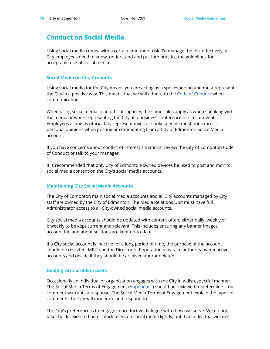# <span id="page-9-0"></span>**Conduct on Social Media**

Using social media comes with a certain amount of risk. To manage the risk effectively, all City employees need to know, understand and put into practice the guidelines for acceptable use of social media.

## **Social Media on City Accounts**

Using social media for the City means you are acting as a spokesperson and must represent the City in a positive way. This means that we will adhere to the Code of [Conduct](https://www.edmonton.ca/city_government/city_organization/employee_experience/code-of-conduct) when communicating.

When using social media in an official capacity, the same rules apply as when speaking with the media or when representing the City at a business conference or similar event. Employees acting as official City representatives or spokespeople must not express personal opinions when posting or commenting from a City of Edmonton Social Media account.

If you have concerns about conflict of interest situations, review the City of Edmonton Code of Conduct or talk to your manager.

It is recommended that only City of Edmonton-owned devices be used to post and monitor social media content on the City's social media accounts.

# **Maintaining City Social Media Accounts**

The City of Edmonton main social media accounts and all City accounts managed by City staff are owned by the City of Edmonton. The Media Relations Unit must have full Administrator access to all City-owned social media accounts.

City social media accounts should be updated with content often, either daily, weekly or biweekly to be kept current and relevant. This includes ensuring any banner images, account bio and about sections are kept up-to-date.

If a City social account is inactive for a long period of time, the purpose of the account should be revisited. MRU and the Director of Reputation may take authority over inactive accounts and decide if they should be archived and/or deleted.

#### **Dealing with problem users**

Occasionally an individual or organization engages with the City in a disrespectful manner. The Social Media Terms of Engagement [\(Appendix](https://docs.google.com/document/d/17L_RzxxaCDQ334z6RLKQRgOmJTssjkg8e42J4DW0k24/edit?usp=sharing) II) should be reviewed to determine if the comment warrants a response. The Social Media Terms of Engagement explain the types of comments the City will moderate and respond to.

The City's preference is to engage in productive dialogue with those we serve. We do not take the decision to ban or block users on social media lightly, but if an individual violates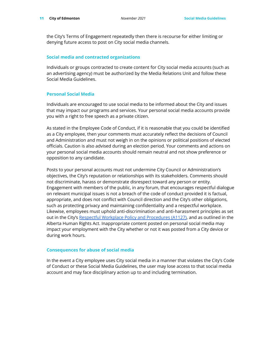the City's Terms of Engagement repeatedly then there is recourse for either limiting or denying future access to post on City social media channels.

#### **Social media and contracted organizations**

Individuals or groups contracted to create content for City social media accounts (such as an advertising agency) must be authorized by the Media Relations Unit and follow these Social Media Guidelines.

## **Personal Social Media**

Individuals are encouraged to use social media to be informed about the City and issues that may impact our programs and services. Your personal social media accounts provide you with a right to free speech as a private citizen.

As stated in the Employee Code of Conduct, if it is reasonable that you could be identified as a City employee, then your comments must accurately reflect the decisions of Council and Administration and must not weigh in on the opinions or political positions of elected officials. Caution is also advised during an election period. Your comments and actions on your personal social media accounts should remain neutral and not show preference or opposition to any candidate.

Posts to your personal accounts must not undermine City Council or Administration's objectives, the City's reputation or relationships with its stakeholders. Comments should not discriminate, harass or demonstrate disrespect toward any person or entity. Engagement with members of the public, in any forum, that encourages respectful dialogue on relevant municipal issues is not a breach of the code of conduct provided it is factual, appropriate, and does not conflict with Council direction and the City's other obligations, such as protecting privacy and maintaining confidentiality and a respectful workplace. Likewise, employees must uphold anti-discrimination and anti-harassment principles as set out in the City's Respectful Workplace Policy and [Procedures](https://www.edmonton.ca/sites/default/files/public-files/assets/PoliciesDirectives/A1127AdministrativePolicy.pdf) (A1127), and as outlined in the Alberta Human Rights Act. Inappropriate content posted on personal social media may impact your employment with the City whether or not it was posted from a City device or during work hours.

# **Consequences for abuse of social media**

In the event a City employee uses City social media in a manner that violates the City's Code of Conduct or these Social Media Guidelines, the user may lose access to that social media account and may face disciplinary action up to and including termination.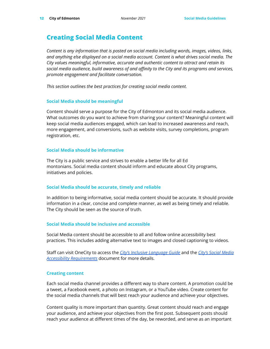# <span id="page-11-0"></span>**Creating Social Media Content**

*Content is any information that is posted on social media including words, images, videos, links, and anything else displayed on a social media account. Content is what drives social media. The City values meaningful, informative, accurate and authentic content to attract and retain its social media audience, build awareness of and affinity to the City and its programs and services, promote engagement and facilitate conversation.*

*This section outlines the best practices for creating social media content.*

# **Social Media should be meaningful**

Content should serve a purpose for the City of Edmonton and its social media audience. What outcomes do you want to achieve from sharing your content? Meaningful content will keep social media audiences engaged, which can lead to increased awareness and reach, more engagement, and conversions, such as website visits, survey completions, program registration, etc.

# **Social Media should be informative**

The City is a public service and strives to enable a better life for all Ed montonians. Social media content should inform and educate about City programs, initiatives and policies.

# **Social Media should be accurate, timely and reliable**

In addition to being informative, social media content should be accurate. It should provide information in a clear, concise and complete manner, as well as being timely and reliable. The City should be seen as the source of truth.

# **Social Media should be inclusive and accessible**

Social Media content should be accessible to all and follow online accessibility best practices. This includes adding alternative text to images and closed captioning to videos.

Staff can visit OneCity to access the *City's Inclusive [Language](https://docs.google.com/document/d/1s1iGlrcZ4jrxhOfrFRMtw8exOjt4jYbcDgJ3Vr21kDY/edit) Guide* and the *City's Social [Media](https://drive.google.com/file/d/1eTiUUhMBAi2LJGt7GnN0028KxFNbkad7/view) Accessibility [Requirements](https://drive.google.com/file/d/1eTiUUhMBAi2LJGt7GnN0028KxFNbkad7/view)* document for more details.

# **Creating content**

Each social media channel provides a different way to share content. A promotion could be a tweet, a Facebook event, a photo on Instagram, or a YouTube video. Create content for the social media channels that will best reach your audience and achieve your objectives.

Content quality is more important than quantity. Great content should reach and engage your audience, and achieve your objectives from the first post. Subsequent posts should reach your audience at different times of the day, be reworded, and serve as an important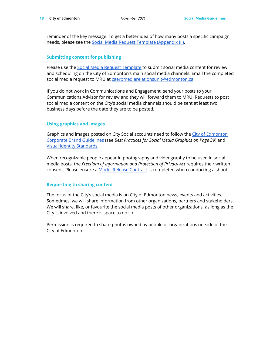reminder of the key message. To get a better idea of how many posts a specific campaign needs, please see the Social Media Request Template [\(Appendix](https://docs.google.com/document/d/1uBBjcK0GLqM-hNhqdXVBRTY9EY4GJBgqWbTYgPhKay0/edit?usp=sharing) III).

## **Submitting content for publishing**

Please use the Social Media Request [Template](https://docs.google.com/document/d/1uBBjcK0GLqM-hNhqdXVBRTY9EY4GJBgqWbTYgPhKay0/edit?usp=sharing) to submit social media content for review and scheduling on the City of Edmonton's main social media channels. Email the completed social media request to MRU at [caerbmediarelationsunit@edmonton.ca.](mailto:caerbmediarelationsunit@edmonton.ca)

If you do not work in Communications and Engagement, send your posts to your Communications Advisor for review and they will forward them to MRU. Requests to post social media content on the City's social media channels should be sent at least two business days before the date they are to be posted.

## **Using graphics and images**

Graphics and images posted on City Social accounts need to follow the City of [Edmonton](https://portal-onecity.edmonton.ca/sites/default/files/box-files/assets/Corporate_Brand_Guidelines.pdf) Corporate Brand [Guidelines](https://portal-onecity.edmonton.ca/sites/default/files/box-files/assets/Corporate_Brand_Guidelines.pdf) (see *Best Practices for Social Media Graphics on Page 39*) and Visual Identity [Standards](https://www.edmonton.ca/city_government/news/visual-identity-standards).

When recognizable people appear in photography and videography to be used in social media posts, the *Freedom of Information and Protection of Privacy Act* requires their written consent. Please ensure a Model Release [Contract](https://portal-onecity.edmonton.ca/assets/CoEModelReleaseContract.pdf?cb=1627591526) is completed when conducting a shoot.

# **Requesting to sharing content**

The focus of the City's social media is on City of Edmonton news, events and activities. Sometimes, we will share information from other organizations, partners and stakeholders. We will share, like, or favourite the social media posts of other organizations, as long as the City is involved and there is space to do so.

Permission is required to share photos owned by people or organizations outside of the City of Edmonton.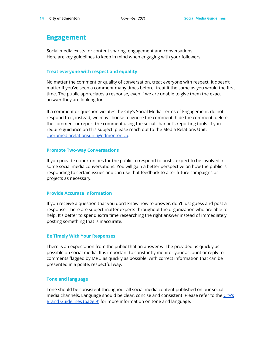# <span id="page-13-0"></span>**Engagement**

Social media exists for content sharing, engagement and conversations. Here are key guidelines to keep in mind when engaging with your followers:

## **Treat everyone with respect and equality**

No matter the comment or quality of conversation, treat everyone with respect. It doesn't matter if you've seen a comment many times before, treat it the same as you would the first time. The public appreciates a response, even if we are unable to give them the exact answer they are looking for.

If a comment or question violates the City's Social Media Terms of Engagement, do not respond to it, instead, we may choose to ignore the comment, hide the comment, delete the comment or report the comment using the social channel's reporting tools. If you require guidance on this subject, please reach out to the Media Relations Unit, [caerbmediarelationsunit@edmonton.ca.](mailto:caerbmediarelationsunit@edmonton.ca)

# **Promote Two-way Conversations**

If you provide opportunities for the public to respond to posts, expect to be involved in some social media conversations. You will gain a better perspective on how the public is responding to certain issues and can use that feedback to alter future campaigns or projects as necessary.

# **Provide Accurate Information**

If you receive a question that you don't know how to answer, don't just guess and post a response. There are subject matter experts throughout the organization who are able to help. It's better to spend extra time researching the right answer instead of immediately posting something that is inaccurate.

# **Be Timely With Your Responses**

There is an expectation from the public that an answer will be provided as quickly as possible on social media. It is important to constantly monitor your account or reply to comments flagged by MRU as quickly as possible, with correct information that can be presented in a polite, respectful way.

# **Tone and language**

Tone should be consistent throughout all social media content published on our social media channels. Language should be clear, concise and consistent. Please refer to the [City's](https://portal-onecity.edmonton.ca/sites/default/files/box-files/assets/Corporate_Brand_Guidelines.pdf) Brand [Guidelines](https://portal-onecity.edmonton.ca/sites/default/files/box-files/assets/Corporate_Brand_Guidelines.pdf) (page 9) for more information on tone and language.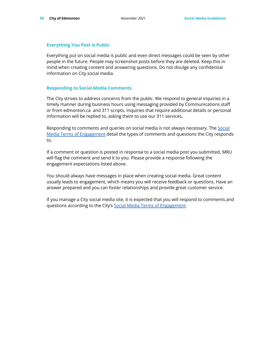## **Everything You Post is Public**

Everything put on social media is public and even direct messages could be seen by other people in the future. People may screenshot posts before they are deleted. Keep this in mind when creating content and answering questions. Do not divulge any confidential information on City social media.

## **Responding to Social Media Comments**

The City strives to address concerns from the public. We respond to general inquiries in a timely manner during business hours using messaging provided by Communications staff or from edmonton.ca and 311 scripts. Inquiries that require additional details or personal information will be replied to, asking them to use our 311 services.

Responding to comments and queries on social media is not always necessary. The [Social](https://docs.google.com/document/d/17L_RzxxaCDQ334z6RLKQRgOmJTssjkg8e42J4DW0k24/edit#heading=h.kg2ibujz3ht1) Media Terms of [Engagement](https://docs.google.com/document/d/17L_RzxxaCDQ334z6RLKQRgOmJTssjkg8e42J4DW0k24/edit#heading=h.kg2ibujz3ht1) detail the types of comments and questions the City responds to.

If a comment or question is posted in response to a social media post you submitted, MRU will flag the comment and send it to you. Please provide a response following the engagement expectations listed above.

You should always have messages in place when creating social media. Great content usually leads to engagement, which means you will receive feedback or questions. Have an answer prepared and you can foster relationships and provide great customer service.

If you manage a City social media site, it is expected that you will respond to comments and questions according to the City's Social Media Terms of [Engagement](https://docs.google.com/document/d/17L_RzxxaCDQ334z6RLKQRgOmJTssjkg8e42J4DW0k24/edit#heading=h.kg2ibujz3ht1).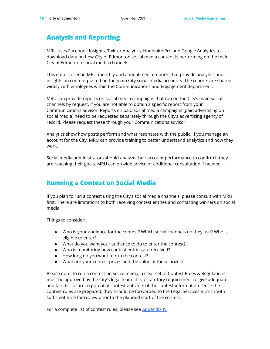# <span id="page-15-0"></span>**Analysis and Reporting**

MRU uses Facebook Insights, Twitter Analytics, Hootsuite Pro and Google Analytics to download data on how City of Edmonton social media content is performing on the main City of Edmonton social media channels.

This data is used in MRU monthly and annual media reports that provide analytics and insights on content posted on the main City social media accounts. The reports are shared widely with employees within the Communications and Engagement department.

MRU can provide reports on social media campaigns that run on the City's main social channels by request, if you are not able to obtain a specific report from your Communications advisor. Reports on paid social media campaigns (paid advertising on social media) need to be requested separately through the City's advertising agency of record. Please request these through your Communications advisor.

Analytics show how posts perform and what resonates with the public. If you manage an account for the City, MRU can provide training to better understand analytics and how they work.

Social media administrators should analyze their account performance to confirm if they are reaching their goals. MRU can provide advice or additional consultation if needed.

# <span id="page-15-1"></span>**Running a Contest on Social Media**

If you plan to run a contest using the City's social media channels, please consult with MRU first. There are limitations to both receiving contest entries and contacting winners on social media.

Things to consider:

- Who is your audience for the contest? Which social channels do they use? Who is eligible to enter?
- What do you want your audience to do to enter the contest?
- Who is monitoring how contest entries are received?
- How long do you want to run the contest?
- What are your contest prizes and the value of those prizes?

Please note, to run a contest on social media, a clear set of Contest Rules & Regulations must be approved by the City's legal team. It is a statutory requirement to give adequate and fair disclosure to potential contest entrants of the contest information. Once the contest rules are prepared, they should be forwarded to the Legal Services Branch with sufficient time for review prior to the planned start of the contest.

For a complete list of contest rules, please see [Appendix](https://docs.google.com/document/d/1VZRynO41G13nGbUoNxIQN43O5bDhC4-kKykho3oYzRE/edit) IV.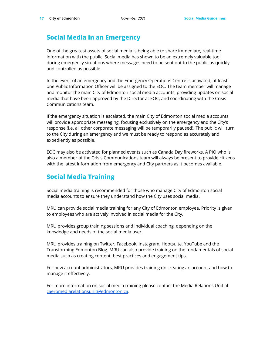# <span id="page-16-0"></span>**Social Media in an Emergency**

One of the greatest assets of social media is being able to share immediate, real-time information with the public. Social media has shown to be an extremely valuable tool during emergency situations where messages need to be sent out to the public as quickly and controlled as possible.

In the event of an emergency and the Emergency Operations Centre is activated, at least one Public Information Officer will be assigned to the EOC. The team member will manage and monitor the main City of Edmonton social media accounts, providing updates on social media that have been approved by the Director at EOC, and coordinating with the Crisis Communications team.

If the emergency situation is escalated, the main City of Edmonton social media accounts will provide appropriate messaging, focusing exclusively on the emergency and the City's response (i.e. all other corporate messaging will be temporarily paused). The public will turn to the City during an emergency and we must be ready to respond as accurately and expediently as possible.

EOC may also be activated for planned events such as Canada Day fireworks. A PIO who is also a member of the Crisis Communications team will always be present to provide citizens with the latest information from emergency and City partners as it becomes available.

# <span id="page-16-1"></span>**Social Media Training**

Social media training is recommended for those who manage City of Edmonton social media accounts to ensure they understand how the City uses social media.

MRU can provide social media training for any City of Edmonton employee. Priority is given to employees who are actively involved in social media for the City.

MRU provides group training sessions and individual coaching, depending on the knowledge and needs of the social media user.

MRU provides training on Twitter, Facebook, Instagram, Hootsuite, YouTube and the Transforming Edmonton Blog. MRU can also provide training on the fundamentals of social media such as creating content, best practices and engagement tips.

For new account administrators, MRU provides training on creating an account and how to manage it effectively.

For more information on social media training please contact the Media Relations Unit at [caerbmediarelationsunit@edmonton.ca.](mailto:caerbmediarelationsunit@edmonton.ca)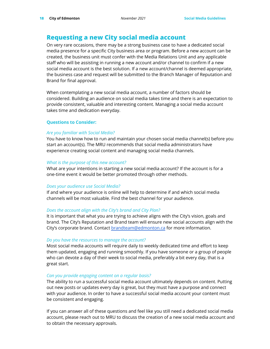# <span id="page-17-0"></span>**Requesting a new City social media account**

On very rare occasions, there may be a strong business case to have a dedicated social media presence for a specific City business area or program. Before a new account can be created, the business unit must confer with the Media Relations Unit and any applicable staff who will be assisting in running a new account and/or channel to confirm if a new social media account is the best solution. If a new account/channel is deemed appropriate, the business case and request will be submitted to the Branch Manager of Reputation and Brand for final approval.

When contemplating a new social media account, a number of factors should be considered. Building an audience on social media takes time and there is an expectation to provide consistent, valuable and interesting content. Managing a social media account takes time and dedication everyday.

# **Questions to Consider:**

## *Are you familiar with Social Media?*

You have to know how to run and maintain your chosen social media channel(s) before you start an account(s). The MRU recommends that social media administrators have experience creating social content and managing social media channels.

## *What is the purpose of this new account?*

What are your intentions in starting a new social media account? If the account is for a one-time event it would be better promoted through other methods.

# *Does your audience use Social Media?*

If and where your audience is online will help to determine if and which social media channels will be most valuable. Find the best channel for your audience.

# *Does the account align with the City's brand and City Plan?*

It is important that what you are trying to achieve aligns with the City's vision, goals and brand. The City's Reputation and Brand team will ensure new social accounts align with the City's corporate brand. Contact [brandteam@edmonton.ca](mailto:brandteam@edmonton.ca) for more information.

# *Do you have the resources to manage the account?*

Most social media accounts will require daily to weekly dedicated time and effort to keep them updated, engaging and running smoothly. If you have someone or a group of people who can devote a day of their week to social media, preferably a bit every day, that is a great start.

# *Can you provide engaging content on a regular basis?*

The ability to run a successful social media account ultimately depends on content. Putting out new posts or updates every day is great, but they must have a purpose and connect with your audience. In order to have a successful social media account your content must be consistent and engaging.

If you can answer all of these questions and feel like you still need a dedicated social media account, please reach out to MRU to discuss the creation of a new social media account and to obtain the necessary approvals.